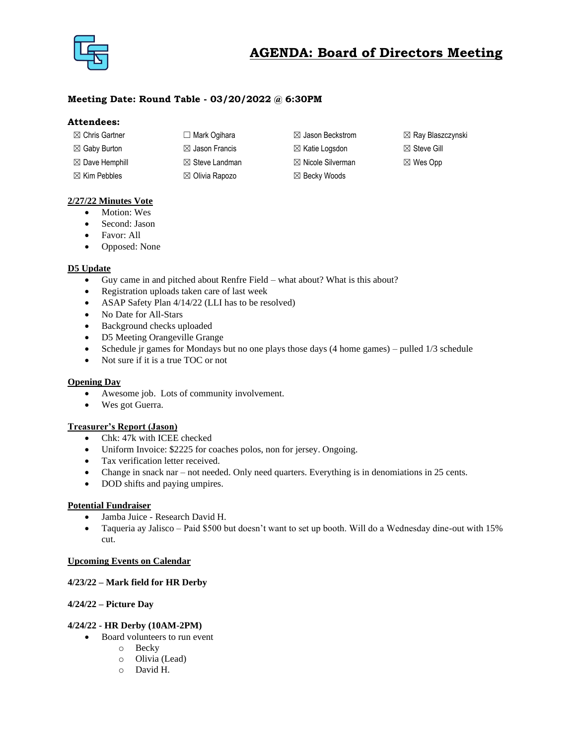

# **AGENDA: Board of Directors Meeting**

# **Meeting Date: Round Table - 03/20/2022 @ 6:30PM**

## **Attendees:**

| $\boxtimes$ Chris Gartner | □ Mark Oqihara            | $\boxtimes$ Jason Beckstrom  | $\boxtimes$ Ray Blaszczynski |
|---------------------------|---------------------------|------------------------------|------------------------------|
| $\boxtimes$ Gaby Burton   | $\boxtimes$ Jason Francis | $\boxtimes$ Katie Logsdon    | $\boxtimes$ Steve Gill       |
| $\boxtimes$ Dave Hemphill | $\boxtimes$ Steve Landman | $\boxtimes$ Nicole Silverman | $\boxtimes$ Wes Opp          |
| $\boxtimes$ Kim Pebbles   | $\boxtimes$ Olivia Rapozo | $\boxtimes$ Becky Woods      |                              |

## **2/27/22 Minutes Vote**

- Motion: Wes
- Second: Jason
- Favor: All
- Opposed: None

## **D5 Update**

- Guy came in and pitched about Renfre Field what about? What is this about?
- Registration uploads taken care of last week
- ASAP Safety Plan 4/14/22 (LLI has to be resolved)
- No Date for All-Stars
- Background checks uploaded
- D5 Meeting Orangeville Grange
- Schedule jr games for Mondays but no one plays those days (4 home games) pulled 1/3 schedule
- Not sure if it is a true TOC or not

#### **Opening Day**

- Awesome job. Lots of community involvement.
- Wes got Guerra.

## **Treasurer's Report (Jason)**

- Chk: 47k with ICEE checked
- Uniform Invoice: \$2225 for coaches polos, non for jersey. Ongoing.
- Tax verification letter received.
- Change in snack nar not needed. Only need quarters. Everything is in denomiations in 25 cents.
- DOD shifts and paying umpires.

## **Potential Fundraiser**

- Jamba Juice Research David H.
- Taqueria ay Jalisco Paid \$500 but doesn't want to set up booth. Will do a Wednesday dine-out with 15% cut.

## **Upcoming Events on Calendar**

#### **4/23/22 – Mark field for HR Derby**

## **4/24/22 – Picture Day**

#### **4/24/22 - HR Derby (10AM-2PM)**

- Board volunteers to run event
	- o Becky
	- o Olivia (Lead)
	- o David H.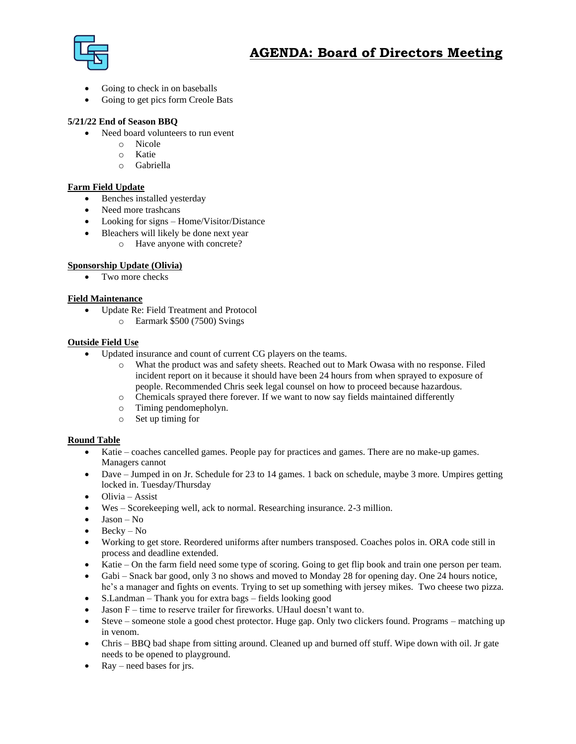

- Going to check in on baseballs
- Going to get pics form Creole Bats

# **5/21/22 End of Season BBQ**

- Need board volunteers to run event
	- o Nicole
	- o Katie
	- o Gabriella

## **Farm Field Update**

- Benches installed yesterday
- Need more trashcans
- Looking for signs Home/Visitor/Distance
	- Bleachers will likely be done next year
		- o Have anyone with concrete?

# **Sponsorship Update (Olivia)**

• Two more checks

## **Field Maintenance**

- Update Re: Field Treatment and Protocol
	- o Earmark \$500 (7500) Svings

## **Outside Field Use**

- Updated insurance and count of current CG players on the teams.
	- o What the product was and safety sheets. Reached out to Mark Owasa with no response. Filed incident report on it because it should have been 24 hours from when sprayed to exposure of people. Recommended Chris seek legal counsel on how to proceed because hazardous.
	- o Chemicals sprayed there forever. If we want to now say fields maintained differently
	- o Timing pendomepholyn.
	- o Set up timing for

## **Round Table**

- Katie coaches cancelled games. People pay for practices and games. There are no make-up games. Managers cannot
- Dave Jumped in on Jr. Schedule for 23 to 14 games. 1 back on schedule, maybe 3 more. Umpires getting locked in. Tuesday/Thursday
- Olivia Assist
- Wes Scorekeeping well, ack to normal. Researching insurance. 2-3 million.
- $\bullet$  Jason No
- $\bullet$  Becky No
- Working to get store. Reordered uniforms after numbers transposed. Coaches polos in. ORA code still in process and deadline extended.
- Katie On the farm field need some type of scoring. Going to get flip book and train one person per team.
- Gabi Snack bar good, only 3 no shows and moved to Monday 28 for opening day. One 24 hours notice, he's a manager and fights on events. Trying to set up something with jersey mikes. Two cheese two pizza.
- S.Landman Thank you for extra bags fields looking good
- Jason F time to reserve trailer for fireworks. UHaul doesn't want to.
- Steve someone stole a good chest protector. Huge gap. Only two clickers found. Programs matching up in venom.
- Chris BBQ bad shape from sitting around. Cleaned up and burned off stuff. Wipe down with oil. Jr gate needs to be opened to playground.
- $Ray need bases for *irs*.$